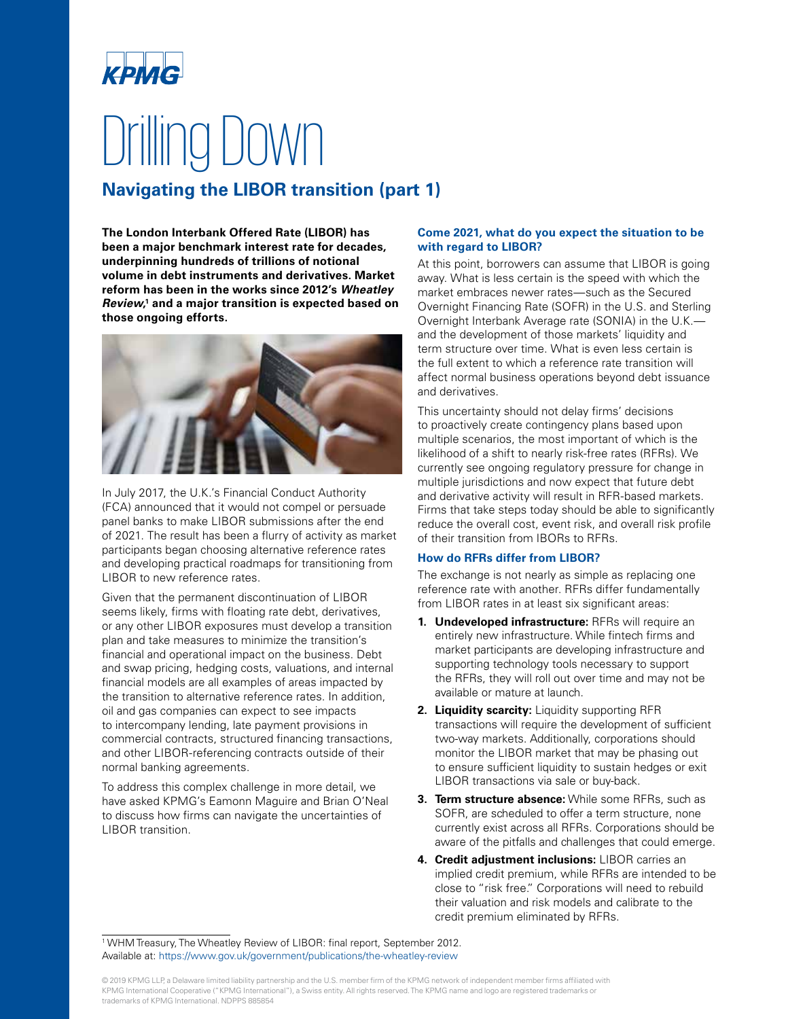# **ИРЛЛА** Drilling Down

### **Navigating the LIBOR transition (part 1)**

**The London Interbank Offered Rate (LIBOR) has been a major benchmark interest rate for decades, underpinning hundreds of trillions of notional volume in debt instruments and derivatives. Market reform has been in the works since 2012's Wheatley Review, 1 and a major transition is expected based on those ongoing efforts.** 



In July 2017, the U.K.'s Financial Conduct Authority (FCA) announced that it would not compel or persuade panel banks to make LIBOR submissions after the end of 2021. The result has been a flurry of activity as market participants began choosing alternative reference rates and developing practical roadmaps for transitioning from LIBOR to new reference rates.

Given that the permanent discontinuation of LIBOR seems likely, firms with floating rate debt, derivatives, or any other LIBOR exposures must develop a transition plan and take measures to minimize the transition's financial and operational impact on the business. Debt and swap pricing, hedging costs, valuations, and internal financial models are all examples of areas impacted by the transition to alternative reference rates. In addition, oil and gas companies can expect to see impacts to intercompany lending, late payment provisions in commercial contracts, structured financing transactions, and other LIBOR-referencing contracts outside of their normal banking agreements.

To address this complex challenge in more detail, we have asked KPMG's Eamonn Maguire and Brian O'Neal to discuss how firms can navigate the uncertainties of LIBOR transition.

### **Come 2021, what do you expect the situation to be with regard to LIBOR?**

At this point, borrowers can assume that LIBOR is going away. What is less certain is the speed with which the market embraces newer rates—such as the Secured Overnight Financing Rate (SOFR) in the U.S. and Sterling Overnight Interbank Average rate (SONIA) in the U.K. and the development of those markets' liquidity and term structure over time. What is even less certain is the full extent to which a reference rate transition will affect normal business operations beyond debt issuance and derivatives.

This uncertainty should not delay firms' decisions to proactively create contingency plans based upon multiple scenarios, the most important of which is the likelihood of a shift to nearly risk-free rates (RFRs). We currently see ongoing regulatory pressure for change in multiple jurisdictions and now expect that future debt and derivative activity will result in RFR-based markets. Firms that take steps today should be able to significantly reduce the overall cost, event risk, and overall risk profile of their transition from IBORs to RFRs.

### **How do RFRs differ from LIBOR?**

The exchange is not nearly as simple as replacing one reference rate with another. RFRs differ fundamentally from LIBOR rates in at least six significant areas:

- **1. Undeveloped infrastructure:** RFRs will require an entirely new infrastructure. While fintech firms and market participants are developing infrastructure and supporting technology tools necessary to support the RFRs, they will roll out over time and may not be available or mature at launch.
- **2. Liquidity scarcity:** Liquidity supporting RFR transactions will require the development of sufficient two-way markets. Additionally, corporations should monitor the LIBOR market that may be phasing out to ensure sufficient liquidity to sustain hedges or exit LIBOR transactions via sale or buy-back.
- **3. Term structure absence:** While some RFRs, such as SOFR, are scheduled to offer a term structure, none currently exist across all RFRs. Corporations should be aware of the pitfalls and challenges that could emerge.
- **4. Credit adjustment inclusions:** LIBOR carries an implied credit premium, while RFRs are intended to be close to "risk free." Corporations will need to rebuild their valuation and risk models and calibrate to the credit premium eliminated by RFRs.

<sup>1</sup> WHM Treasury, The Wheatley Review of LIBOR: final report, September 2012. Available at:<https://www.gov.uk/government/publications/the-wheatley-review>

© 2019 KPMG LLP, a Delaware limited liability partnership and the U.S. member firm of the KPMG network of independent member firms affiliated with KPMG International Cooperative ("KPMG International"), a Swiss entity. All rights reserved. The KPMG name and logo are registered trademarks or trademarks of KPMG International. NDPPS 885854